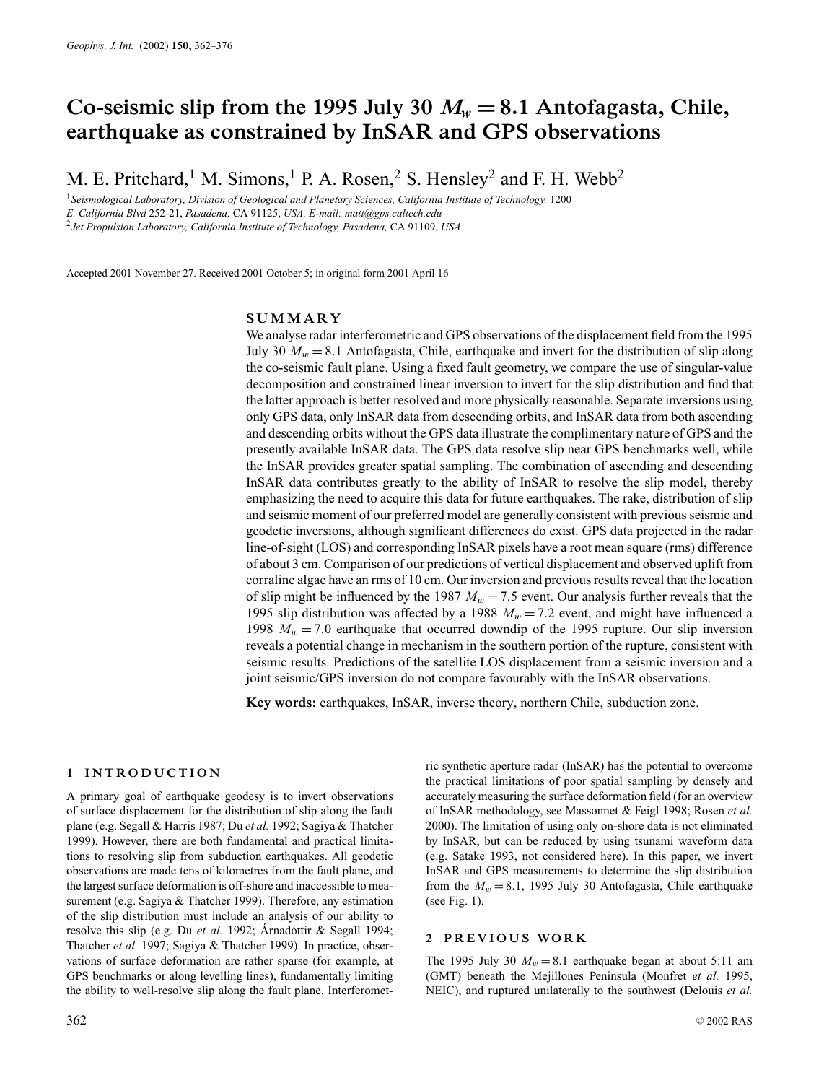# Co-seismic slip from the 1995 July 30  $M_w = 8.1$  Antofagasta, Chile, **earthquake as constrained by InSAR and GPS observations**

M. E. Pritchard,<sup>1</sup> M. Simons,<sup>1</sup> P. A. Rosen,<sup>2</sup> S. Hensley<sup>2</sup> and F. H. Webb<sup>2</sup>

<sup>1</sup>*Seismological Laboratory, Division of Geological and Planetary Sciences, California Institute of Technology,* 1200 *E. California Blvd* 252-21, *Pasadena,* CA 91125, *USA. E-mail: matt@gps.caltech.edu* <sup>2</sup>*Jet Propulsion Laboratory, California Institute of Technology, Pasadena,* CA 91109, *USA*

Accepted 2001 November 27. Received 2001 October 5; in original form 2001 April 16

# **SUMMARY**

We analyse radar interferometric and GPS observations of the displacement field from the 1995 July 30  $M_w = 8.1$  Antofagasta, Chile, earthquake and invert for the distribution of slip along the co-seismic fault plane. Using a fixed fault geometry, we compare the use of singular-value decomposition and constrained linear inversion to invert for the slip distribution and find that the latter approach is better resolved and more physically reasonable. Separate inversions using only GPS data, only InSAR data from descending orbits, and InSAR data from both ascending and descending orbits without the GPS data illustrate the complimentary nature of GPS and the presently available InSAR data. The GPS data resolve slip near GPS benchmarks well, while the InSAR provides greater spatial sampling. The combination of ascending and descending InSAR data contributes greatly to the ability of InSAR to resolve the slip model, thereby emphasizing the need to acquire this data for future earthquakes. The rake, distribution of slip and seismic moment of our preferred model are generally consistent with previous seismic and geodetic inversions, although significant differences do exist. GPS data projected in the radar line-of-sight (LOS) and corresponding InSAR pixels have a root mean square (rms) difference of about 3 cm. Comparison of our predictions of vertical displacement and observed uplift from corraline algae have an rms of 10 cm. Our inversion and previous results reveal that the location of slip might be influenced by the 1987  $M_w = 7.5$  event. Our analysis further reveals that the 1995 slip distribution was affected by a 1988  $M_w = 7.2$  event, and might have influenced a 1998  $M_w = 7.0$  earthquake that occurred downdip of the 1995 rupture. Our slip inversion reveals a potential change in mechanism in the southern portion of the rupture, consistent with seismic results. Predictions of the satellite LOS displacement from a seismic inversion and a joint seismic/GPS inversion do not compare favourably with the InSAR observations.

**Key words:** earthquakes, InSAR, inverse theory, northern Chile, subduction zone.

## **1 INTRODUCTION**

A primary goal of earthquake geodesy is to invert observations of surface displacement for the distribution of slip along the fault plane (e.g. Segall & Harris 1987; Du *et al.* 1992; Sagiya & Thatcher 1999). However, there are both fundamental and practical limitations to resolving slip from subduction earthquakes. All geodetic observations are made tens of kilometres from the fault plane, and the largest surface deformation is off-shore and inaccessible to measurement (e.g. Sagiya & Thatcher 1999). Therefore, any estimation of the slip distribution must include an analysis of our ability to resolve this slip (e.g. Du *et al.* 1992; Arnadóttir & Segall 1994; Thatcher *et al.* 1997; Sagiya & Thatcher 1999). In practice, observations of surface deformation are rather sparse (for example, at GPS benchmarks or along levelling lines), fundamentally limiting the ability to well-resolve slip along the fault plane. Interferomet-

ric synthetic aperture radar (InSAR) has the potential to overcome the practical limitations of poor spatial sampling by densely and accurately measuring the surface deformation field (for an overview of InSAR methodology, see Massonnet & Feigl 1998; Rosen *et al.* 2000). The limitation of using only on-shore data is not eliminated by InSAR, but can be reduced by using tsunami waveform data (e.g. Satake 1993, not considered here). In this paper, we invert InSAR and GPS measurements to determine the slip distribution from the  $M_w = 8.1$ , 1995 July 30 Antofagasta, Chile earthquake (see Fig. 1).

## **2 PREVIOUS WORK**

The 1995 July 30  $M_w = 8.1$  earthquake began at about 5:11 am (GMT) beneath the Mejillones Peninsula (Monfret *et al.* 1995, NEIC), and ruptured unilaterally to the southwest (Delouis *et al.*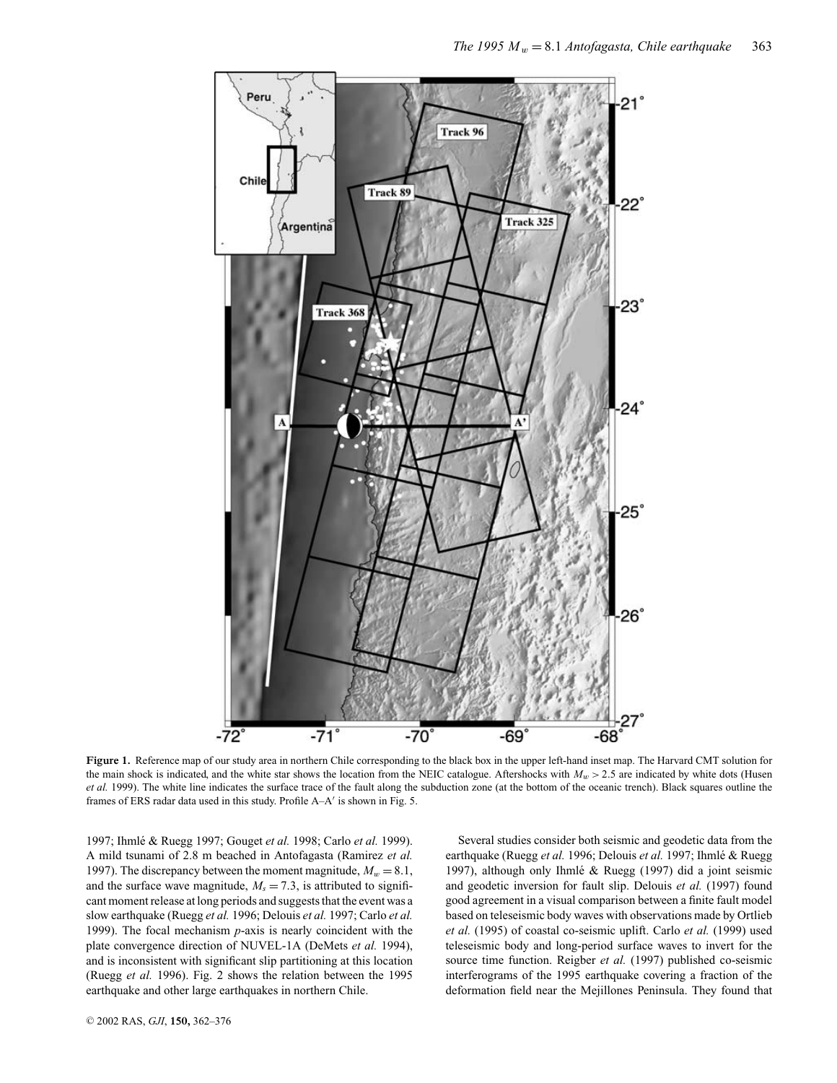

**Figure 1.** Reference map of our study area in northern Chile corresponding to the black box in the upper left-hand inset map. The Harvard CMT solution for the main shock is indicated, and the white star shows the location from the NEIC catalogue. Aftershocks with  $M_w$  > 2.5 are indicated by white dots (Husen *et al.* 1999). The white line indicates the surface trace of the fault along the subduction zone (at the bottom of the oceanic trench). Black squares outline the frames of ERS radar data used in this study. Profile  $A - A'$  is shown in Fig. 5.

1997; Ihmlé & Ruegg 1997; Gouget et al. 1998; Carlo et al. 1999). A mild tsunami of 2.8 m beached in Antofagasta (Ramirez *et al.* 1997). The discrepancy between the moment magnitude,  $M_w = 8.1$ , and the surface wave magnitude,  $M_s = 7.3$ , is attributed to significant moment release at long periods and suggests that the event was a slow earthquake (Ruegg *et al.* 1996; Delouis *et al.* 1997; Carlo *et al.* 1999). The focal mechanism *p*-axis is nearly coincident with the plate convergence direction of NUVEL-1A (DeMets *et al.* 1994), and is inconsistent with significant slip partitioning at this location (Ruegg *et al.* 1996). Fig. 2 shows the relation between the 1995 earthquake and other large earthquakes in northern Chile.

Several studies consider both seismic and geodetic data from the earthquake (Ruegg et al. 1996; Delouis et al. 1997; Ihmlé & Ruegg 1997), although only Ihmlé & Ruegg (1997) did a joint seismic and geodetic inversion for fault slip. Delouis *et al.* (1997) found good agreement in a visual comparison between a finite fault model based on teleseismic body waves with observations made by Ortlieb *et al.* (1995) of coastal co-seismic uplift. Carlo *et al.* (1999) used teleseismic body and long-period surface waves to invert for the source time function. Reigber *et al.* (1997) published co-seismic interferograms of the 1995 earthquake covering a fraction of the deformation field near the Mejillones Peninsula. They found that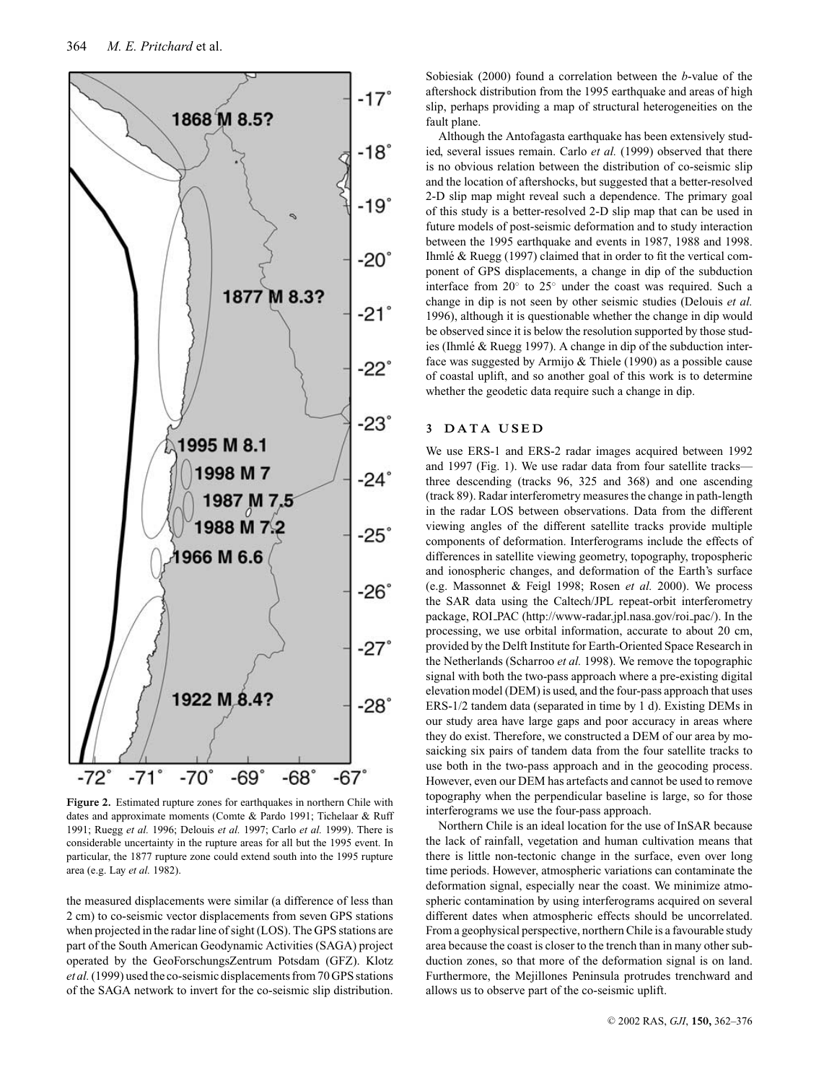

**Figure 2.** Estimated rupture zones for earthquakes in northern Chile with dates and approximate moments (Comte & Pardo 1991; Tichelaar & Ruff 1991; Ruegg *et al.* 1996; Delouis *et al.* 1997; Carlo *et al.* 1999). There is considerable uncertainty in the rupture areas for all but the 1995 event. In particular, the 1877 rupture zone could extend south into the 1995 rupture area (e.g. Lay *et al.* 1982).

the measured displacements were similar (a difference of less than 2 cm) to co-seismic vector displacements from seven GPS stations when projected in the radar line of sight (LOS). The GPS stations are part of the South American Geodynamic Activities (SAGA) project operated by the GeoForschungsZentrum Potsdam (GFZ). Klotz *et al.*(1999) used the co-seismic displacements from 70 GPS stations of the SAGA network to invert for the co-seismic slip distribution. Sobiesiak (2000) found a correlation between the *b*-value of the aftershock distribution from the 1995 earthquake and areas of high slip, perhaps providing a map of structural heterogeneities on the fault plane.

Although the Antofagasta earthquake has been extensively studied, several issues remain. Carlo *et al.* (1999) observed that there is no obvious relation between the distribution of co-seismic slip and the location of aftershocks, but suggested that a better-resolved 2-D slip map might reveal such a dependence. The primary goal of this study is a better-resolved 2-D slip map that can be used in future models of post-seismic deformation and to study interaction between the 1995 earthquake and events in 1987, 1988 and 1998. Ihmlé & Ruegg (1997) claimed that in order to fit the vertical component of GPS displacements, a change in dip of the subduction interface from 20◦ to 25◦ under the coast was required. Such a change in dip is not seen by other seismic studies (Delouis *et al.* 1996), although it is questionable whether the change in dip would be observed since it is below the resolution supported by those studies (Ihmlé & Ruegg 1997). A change in dip of the subduction interface was suggested by Armijo & Thiele (1990) as a possible cause of coastal uplift, and so another goal of this work is to determine whether the geodetic data require such a change in dip.

# **3 DATA USED**

We use ERS-1 and ERS-2 radar images acquired between 1992 and 1997 (Fig. 1). We use radar data from four satellite tracks three descending (tracks 96, 325 and 368) and one ascending (track 89). Radar interferometry measures the change in path-length in the radar LOS between observations. Data from the different viewing angles of the different satellite tracks provide multiple components of deformation. Interferograms include the effects of differences in satellite viewing geometry, topography, tropospheric and ionospheric changes, and deformation of the Earth's surface (e.g. Massonnet & Feigl 1998; Rosen *et al.* 2000). We process the SAR data using the Caltech/JPL repeat-orbit interferometry package, ROI PAC (http://www-radar.jpl.nasa.gov/roi pac/). In the processing, we use orbital information, accurate to about 20 cm, provided by the Delft Institute for Earth-Oriented Space Research in the Netherlands (Scharroo *et al.* 1998). We remove the topographic signal with both the two-pass approach where a pre-existing digital elevation model (DEM) is used, and the four-pass approach that uses ERS-1/2 tandem data (separated in time by 1 d). Existing DEMs in our study area have large gaps and poor accuracy in areas where they do exist. Therefore, we constructed a DEM of our area by mosaicking six pairs of tandem data from the four satellite tracks to use both in the two-pass approach and in the geocoding process. However, even our DEM has artefacts and cannot be used to remove topography when the perpendicular baseline is large, so for those interferograms we use the four-pass approach.

Northern Chile is an ideal location for the use of InSAR because the lack of rainfall, vegetation and human cultivation means that there is little non-tectonic change in the surface, even over long time periods. However, atmospheric variations can contaminate the deformation signal, especially near the coast. We minimize atmospheric contamination by using interferograms acquired on several different dates when atmospheric effects should be uncorrelated. From a geophysical perspective, northern Chile is a favourable study area because the coast is closer to the trench than in many other subduction zones, so that more of the deformation signal is on land. Furthermore, the Mejillones Peninsula protrudes trenchward and allows us to observe part of the co-seismic uplift.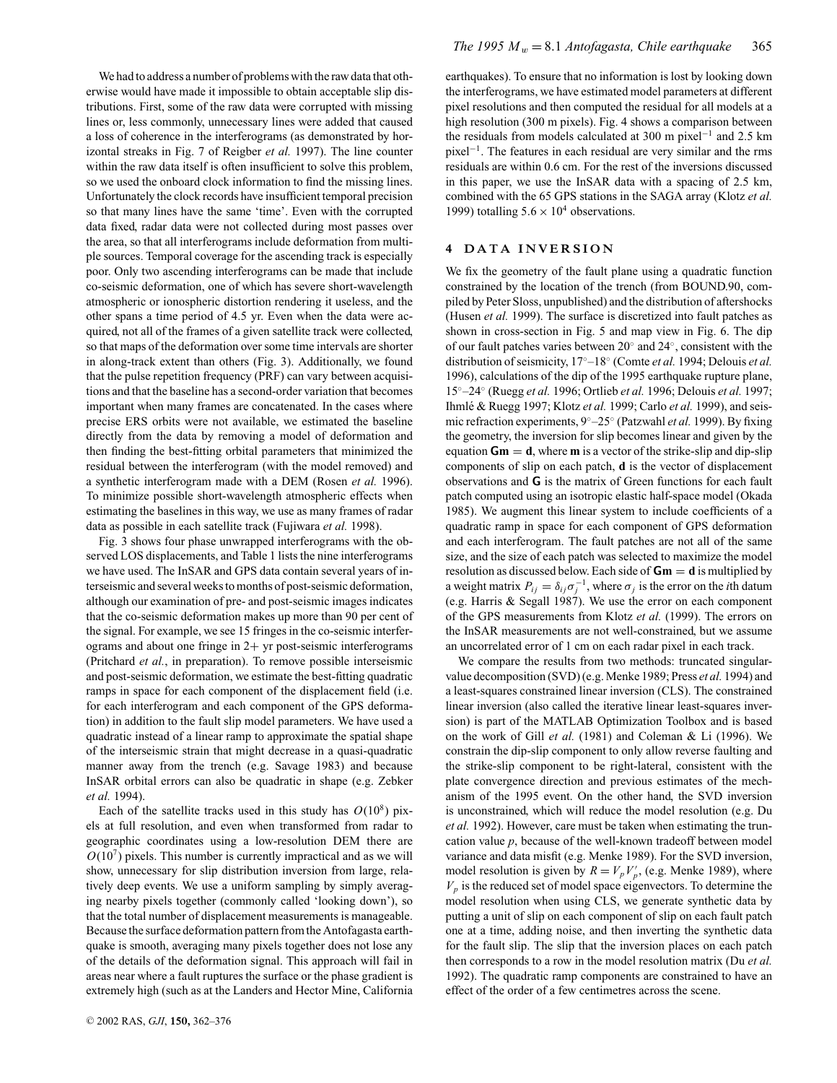We had to address a number of problems with the raw data that otherwise would have made it impossible to obtain acceptable slip distributions. First, some of the raw data were corrupted with missing lines or, less commonly, unnecessary lines were added that caused a loss of coherence in the interferograms (as demonstrated by horizontal streaks in Fig. 7 of Reigber *et al.* 1997). The line counter within the raw data itself is often insufficient to solve this problem, so we used the onboard clock information to find the missing lines. Unfortunately the clock records have insufficient temporal precision so that many lines have the same 'time'. Even with the corrupted data fixed, radar data were not collected during most passes over the area, so that all interferograms include deformation from multiple sources. Temporal coverage for the ascending track is especially poor. Only two ascending interferograms can be made that include co-seismic deformation, one of which has severe short-wavelength atmospheric or ionospheric distortion rendering it useless, and the other spans a time period of 4.5 yr. Even when the data were acquired, not all of the frames of a given satellite track were collected, so that maps of the deformation over some time intervals are shorter in along-track extent than others (Fig. 3). Additionally, we found that the pulse repetition frequency (PRF) can vary between acquisitions and that the baseline has a second-order variation that becomes important when many frames are concatenated. In the cases where precise ERS orbits were not available, we estimated the baseline directly from the data by removing a model of deformation and then finding the best-fitting orbital parameters that minimized the residual between the interferogram (with the model removed) and a synthetic interferogram made with a DEM (Rosen *et al.* 1996). To minimize possible short-wavelength atmospheric effects when estimating the baselines in this way, we use as many frames of radar data as possible in each satellite track (Fujiwara *et al.* 1998).

Fig. 3 shows four phase unwrapped interferograms with the observed LOS displacements, and Table 1 lists the nine interferograms we have used. The InSAR and GPS data contain several years of interseismic and several weeks to months of post-seismic deformation, although our examination of pre- and post-seismic images indicates that the co-seismic deformation makes up more than 90 per cent of the signal. For example, we see 15 fringes in the co-seismic interferograms and about one fringe in  $2+$  yr post-seismic interferograms (Pritchard *et al.*, in preparation). To remove possible interseismic and post-seismic deformation, we estimate the best-fitting quadratic ramps in space for each component of the displacement field (i.e. for each interferogram and each component of the GPS deformation) in addition to the fault slip model parameters. We have used a quadratic instead of a linear ramp to approximate the spatial shape of the interseismic strain that might decrease in a quasi-quadratic manner away from the trench (e.g. Savage 1983) and because InSAR orbital errors can also be quadratic in shape (e.g. Zebker *et al.* 1994).

Each of the satellite tracks used in this study has  $O(10^8)$  pixels at full resolution, and even when transformed from radar to geographic coordinates using a low-resolution DEM there are  $O(10<sup>7</sup>)$  pixels. This number is currently impractical and as we will show, unnecessary for slip distribution inversion from large, relatively deep events. We use a uniform sampling by simply averaging nearby pixels together (commonly called 'looking down'), so that the total number of displacement measurements is manageable. Because the surface deformation pattern from the Antofagasta earthquake is smooth, averaging many pixels together does not lose any of the details of the deformation signal. This approach will fail in areas near where a fault ruptures the surface or the phase gradient is extremely high (such as at the Landers and Hector Mine, California earthquakes). To ensure that no information is lost by looking down the interferograms, we have estimated model parameters at different pixel resolutions and then computed the residual for all models at a high resolution (300 m pixels). Fig. 4 shows a comparison between the residuals from models calculated at 300 m pixel−<sup>1</sup> and 2.5 km pixel−1. The features in each residual are very similar and the rms residuals are within 0.6 cm. For the rest of the inversions discussed in this paper, we use the InSAR data with a spacing of 2.5 km, combined with the 65 GPS stations in the SAGA array (Klotz *et al.* 1999) totalling  $5.6 \times 10^4$  observations.

# **4 DATA INVERSION**

We fix the geometry of the fault plane using a quadratic function constrained by the location of the trench (from BOUND.90, compiled by Peter Sloss, unpublished) and the distribution of aftershocks (Husen *et al.* 1999). The surface is discretized into fault patches as shown in cross-section in Fig. 5 and map view in Fig. 6. The dip of our fault patches varies between 20◦ and 24◦, consistent with the distribution of seismicity, 17◦–18◦ (Comte *et al.* 1994; Delouis *et al.* 1996), calculations of the dip of the 1995 earthquake rupture plane, 15◦–24◦ (Ruegg *et al.* 1996; Ortlieb *et al.* 1996; Delouis *et al.* 1997; Ihmlé & Ruegg 1997; Klotz et al. 1999; Carlo et al. 1999), and seismic refraction experiments, 9◦–25◦ (Patzwahl *et al.* 1999). By fixing the geometry, the inversion for slip becomes linear and given by the equation  $Gm = d$ , where **m** is a vector of the strike-slip and dip-slip components of slip on each patch, **d** is the vector of displacement observations and **G** is the matrix of Green functions for each fault patch computed using an isotropic elastic half-space model (Okada 1985). We augment this linear system to include coefficients of a quadratic ramp in space for each component of GPS deformation and each interferogram. The fault patches are not all of the same size, and the size of each patch was selected to maximize the model resolution as discussed below. Each side of **Gm** = **d** is multiplied by a weight matrix  $P_{ij} = \delta_{ij} \sigma_j^{-1}$ , where  $\sigma_j$  is the error on the *i*th datum (e.g. Harris & Segall 1987). We use the error on each component of the GPS measurements from Klotz *et al.* (1999). The errors on the InSAR measurements are not well-constrained, but we assume an uncorrelated error of 1 cm on each radar pixel in each track.

We compare the results from two methods: truncated singularvalue decomposition (SVD) (e.g. Menke 1989; Press *et al.* 1994) and a least-squares constrained linear inversion (CLS). The constrained linear inversion (also called the iterative linear least-squares inversion) is part of the MATLAB Optimization Toolbox and is based on the work of Gill *et al.* (1981) and Coleman & Li (1996). We constrain the dip-slip component to only allow reverse faulting and the strike-slip component to be right-lateral, consistent with the plate convergence direction and previous estimates of the mechanism of the 1995 event. On the other hand, the SVD inversion is unconstrained, which will reduce the model resolution (e.g. Du *et al.* 1992). However, care must be taken when estimating the truncation value *p*, because of the well-known tradeoff between model variance and data misfit (e.g. Menke 1989). For the SVD inversion, model resolution is given by  $R = V_p V_p'$ , (e.g. Menke 1989), where  $V_p$  is the reduced set of model space eigenvectors. To determine the model resolution when using CLS, we generate synthetic data by putting a unit of slip on each component of slip on each fault patch one at a time, adding noise, and then inverting the synthetic data for the fault slip. The slip that the inversion places on each patch then corresponds to a row in the model resolution matrix (Du *et al.* 1992). The quadratic ramp components are constrained to have an effect of the order of a few centimetres across the scene.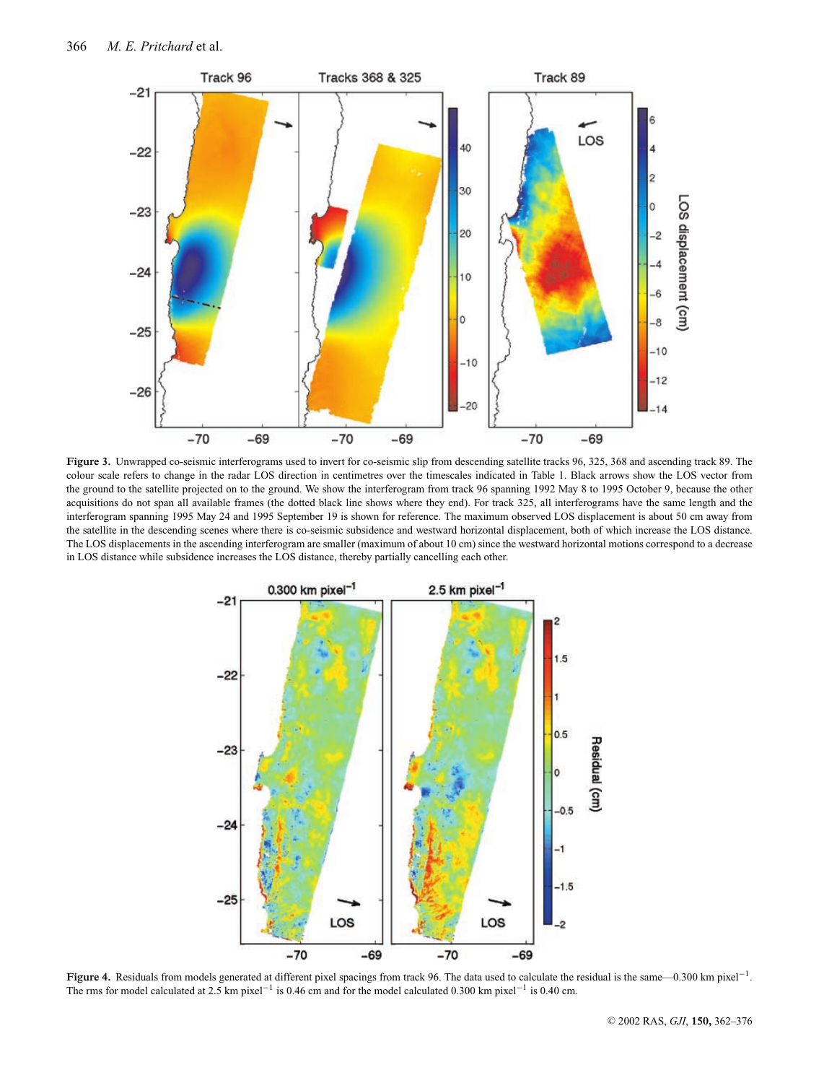

**Figure 3.** Unwrapped co-seismic interferograms used to invert for co-seismic slip from descending satellite tracks 96, 325, 368 and ascending track 89. The colour scale refers to change in the radar LOS direction in centimetres over the timescales indicated in Table 1. Black arrows show the LOS vector from the ground to the satellite projected on to the ground. We show the interferogram from track 96 spanning 1992 May 8 to 1995 October 9, because the other acquisitions do not span all available frames (the dotted black line shows where they end). For track 325, all interferograms have the same length and the interferogram spanning 1995 May 24 and 1995 September 19 is shown for reference. The maximum observed LOS displacement is about 50 cm away from the satellite in the descending scenes where there is co-seismic subsidence and westward horizontal displacement, both of which increase the LOS distance. The LOS displacements in the ascending interferogram are smaller (maximum of about 10 cm) since the westward horizontal motions correspond to a decrease in LOS distance while subsidence increases the LOS distance, thereby partially cancelling each other.



**Figure 4.** Residuals from models generated at different pixel spacings from track 96. The data used to calculate the residual is the same—0.300 km pixel−1. The rms for model calculated at 2.5 km pixel−<sup>1</sup> is 0.46 cm and for the model calculated 0.300 km pixel−<sup>1</sup> is 0.40 cm.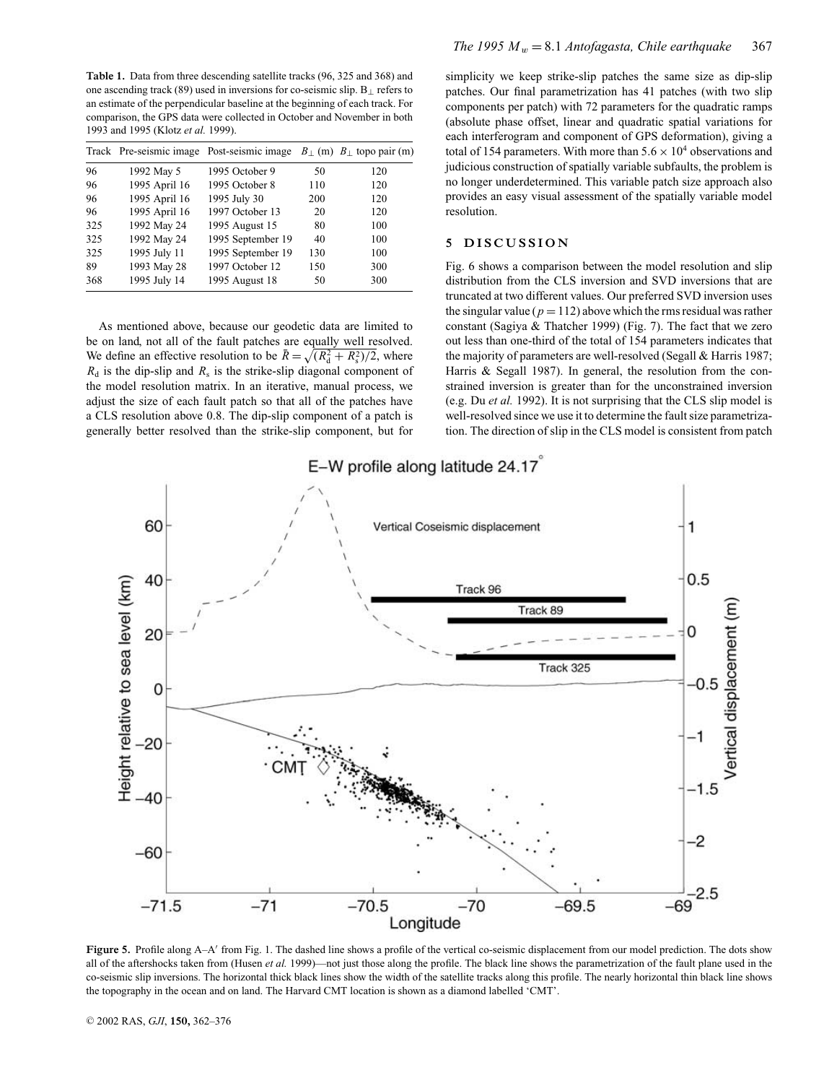**Table 1.** Data from three descending satellite tracks (96, 325 and 368) and one ascending track (89) used in inversions for co-seismic slip. B<sup>⊥</sup> refers to an estimate of the perpendicular baseline at the beginning of each track. For comparison, the GPS data were collected in October and November in both 1993 and 1995 (Klotz *et al.* 1999).

|     |               | Track Pre-seismic image Post-seismic image |     | $B_+$ (m) $B_+$ topo pair (m) |
|-----|---------------|--------------------------------------------|-----|-------------------------------|
| 96  | 1992 May 5    | 1995 October 9                             | 50  | 120                           |
| 96  | 1995 April 16 | 1995 October 8                             | 110 | 120                           |
| 96  | 1995 April 16 | 1995 July 30                               | 200 | 120                           |
| 96  | 1995 April 16 | 1997 October 13                            | 20  | 120                           |
| 325 | 1992 May 24   | 1995 August 15                             | 80  | 100                           |
| 325 | 1992 May 24   | 1995 September 19                          | 40  | 100                           |
| 325 | 1995 July 11  | 1995 September 19                          | 130 | 100                           |
| 89  | 1993 May 28   | 1997 October 12                            | 150 | 300                           |
| 368 | 1995 July 14  | 1995 August 18                             | 50  | 300                           |

As mentioned above, because our geodetic data are limited to be on land, not all of the fault patches are equally well resolved. We define an effective resolution to be  $\bar{R} = \sqrt{R_d^2 + R_s^2/2}$ , where  $R_d$  is the dip-slip and  $R_s$  is the strike-slip diagonal component of the model resolution matrix. In an iterative, manual process, we adjust the size of each fault patch so that all of the patches have a CLS resolution above 0.8. The dip-slip component of a patch is generally better resolved than the strike-slip component, but for

simplicity we keep strike-slip patches the same size as dip-slip patches. Our final parametrization has 41 patches (with two slip components per patch) with 72 parameters for the quadratic ramps (absolute phase offset, linear and quadratic spatial variations for each interferogram and component of GPS deformation), giving a total of 154 parameters. With more than  $5.6 \times 10^4$  observations and judicious construction of spatially variable subfaults, the problem is no longer underdetermined. This variable patch size approach also provides an easy visual assessment of the spatially variable model resolution.

## **5 DISCUSSION**

Fig. 6 shows a comparison between the model resolution and slip distribution from the CLS inversion and SVD inversions that are truncated at two different values. Our preferred SVD inversion uses the singular value ( $p = 112$ ) above which the rms residual was rather constant (Sagiya & Thatcher 1999) (Fig. 7). The fact that we zero out less than one-third of the total of 154 parameters indicates that the majority of parameters are well-resolved (Segall & Harris 1987; Harris & Segall 1987). In general, the resolution from the constrained inversion is greater than for the unconstrained inversion (e.g. Du *et al.* 1992). It is not surprising that the CLS slip model is well-resolved since we use it to determine the fault size parametrization. The direction of slip in the CLS model is consistent from patch



**Figure 5.** Profile along A–A' from Fig. 1. The dashed line shows a profile of the vertical co-seismic displacement from our model prediction. The dots show all of the aftershocks taken from (Husen *et al.* 1999)—not just those along the profile. The black line shows the parametrization of the fault plane used in the co-seismic slip inversions. The horizontal thick black lines show the width of the satellite tracks along this profile. The nearly horizontal thin black line shows the topography in the ocean and on land. The Harvard CMT location is shown as a diamond labelled 'CMT'.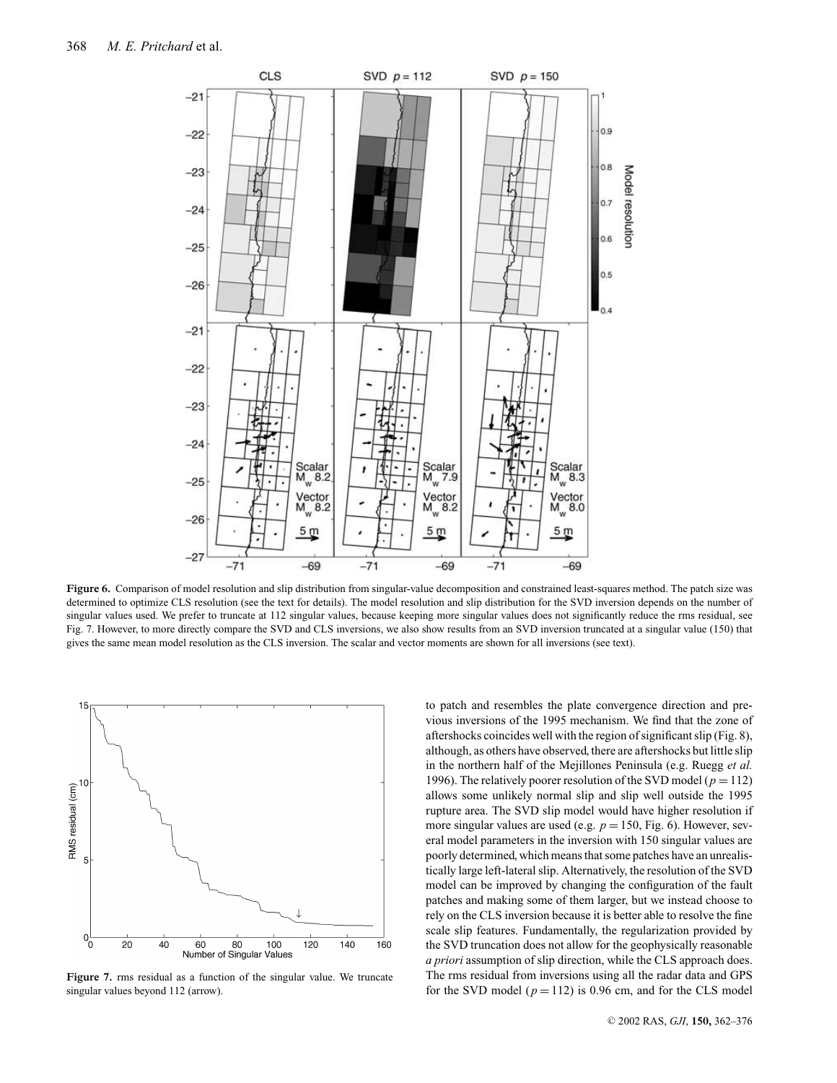

Figure 6. Comparison of model resolution and slip distribution from singular-value decomposition and constrained least-squares method. The patch size was determined to optimize CLS resolution (see the text for details). The model resolution and slip distribution for the SVD inversion depends on the number of singular values used. We prefer to truncate at 112 singular values, because keeping more singular values does not significantly reduce the rms residual, see Fig. 7. However, to more directly compare the SVD and CLS inversions, we also show results from an SVD inversion truncated at a singular value (150) that gives the same mean model resolution as the CLS inversion. The scalar and vector moments are shown for all inversions (see text).



**Figure 7.** rms residual as a function of the singular value. We truncate singular values beyond 112 (arrow).

to patch and resembles the plate convergence direction and previous inversions of the 1995 mechanism. We find that the zone of aftershocks coincides well with the region of significant slip (Fig. 8), although, as others have observed, there are aftershocks but little slip in the northern half of the Mejillones Peninsula (e.g. Ruegg *et al.* 1996). The relatively poorer resolution of the SVD model ( $p = 112$ ) allows some unlikely normal slip and slip well outside the 1995 rupture area. The SVD slip model would have higher resolution if more singular values are used (e.g.  $p = 150$ , Fig. 6). However, several model parameters in the inversion with 150 singular values are poorly determined, which means that some patches have an unrealistically large left-lateral slip. Alternatively, the resolution of the SVD model can be improved by changing the configuration of the fault patches and making some of them larger, but we instead choose to rely on the CLS inversion because it is better able to resolve the fine scale slip features. Fundamentally, the regularization provided by the SVD truncation does not allow for the geophysically reasonable *a priori* assumption of slip direction, while the CLS approach does. The rms residual from inversions using all the radar data and GPS for the SVD model  $(p = 112)$  is 0.96 cm, and for the CLS model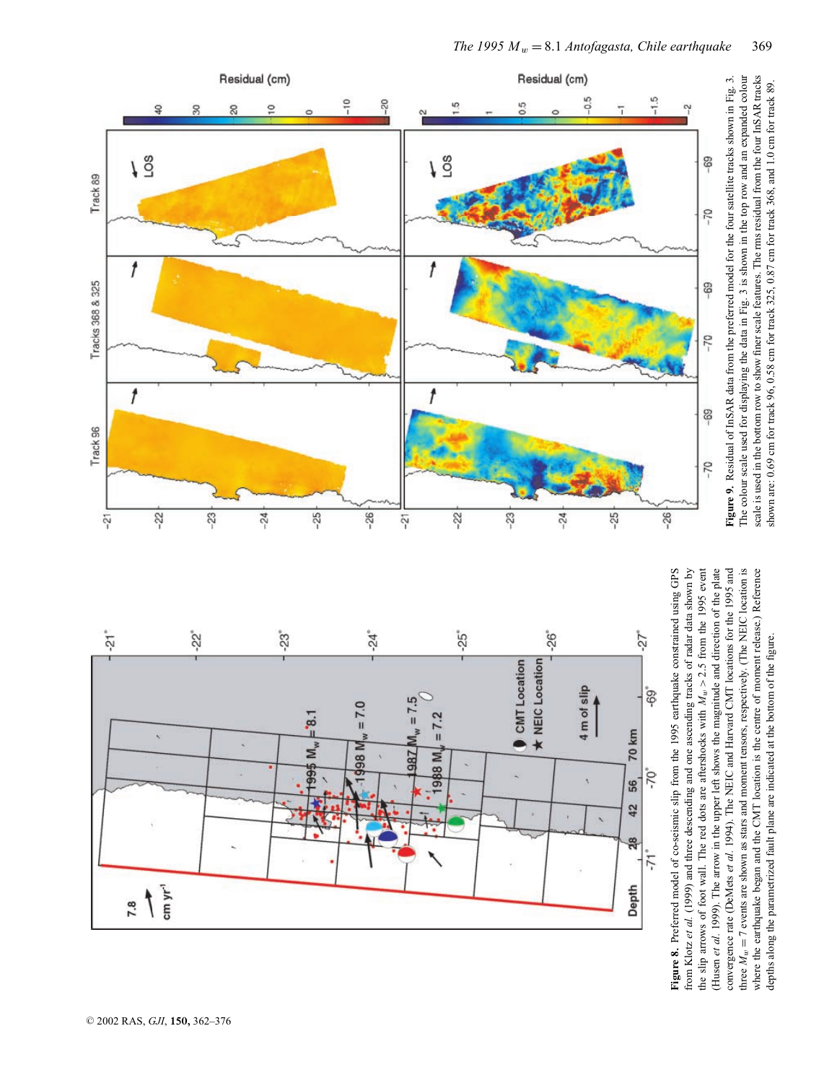

three  $M_w = 7$  events are shown as stars and moment tensors, respectively. (The NEIC location is where the earthquake began and the CMT location is the centre of moment release.) Reference Figure 8. Preferred model of co-seismic slip from the 1995 earthquake constrained using GPS from Klotz et al. (1999) and three descending and one ascending tracks of radar data shown by the slip arrows of foot wall. The red dots are aftershocks with  $M_w > 2.5$  from the 1995 event (Husen et al. 1999). The arrow in the upper left shows the magnitude and direction of the plate convergence rate (DeMets et al. 1994). The NEIC and Harvard CMT locations for the 1995 and depths along the parametrized fault plane are indicated at the bottom of the figure.



*The 1995 M* w = 8 . 1 *Antofagasta, Chile earthquake* 369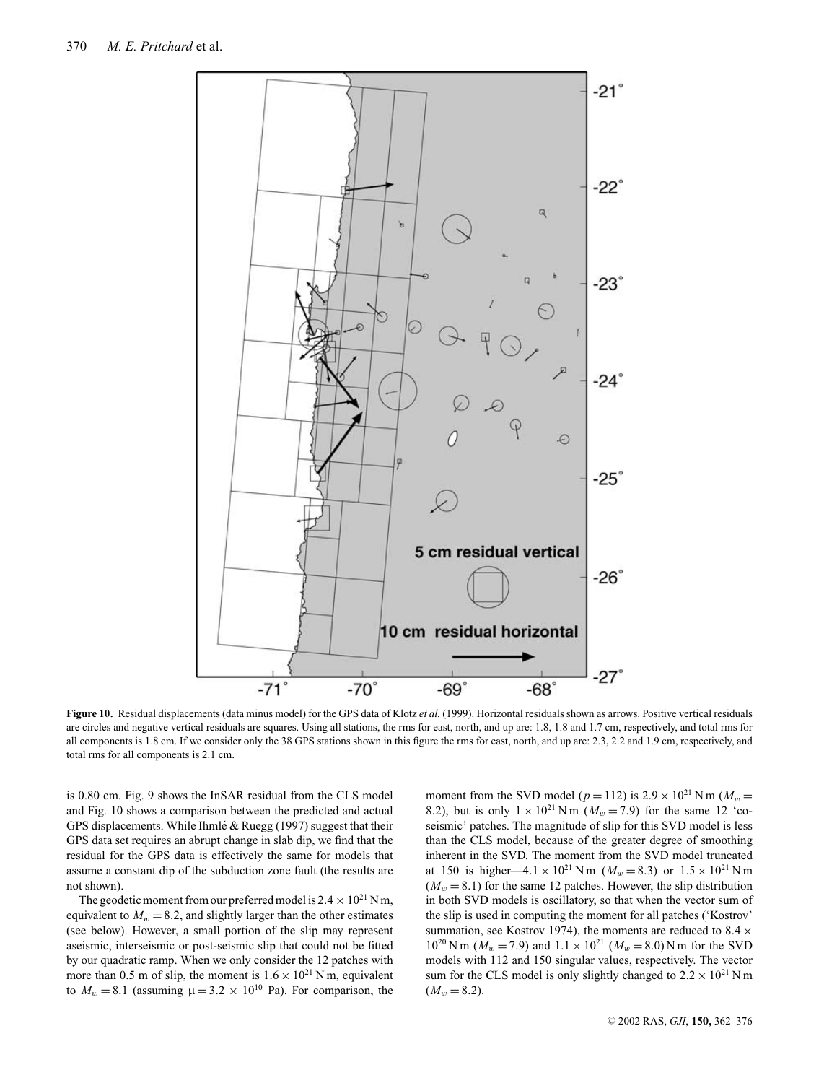

**Figure 10.** Residual displacements (data minus model) for the GPS data of Klotz *et al.* (1999). Horizontal residuals shown as arrows. Positive vertical residuals are circles and negative vertical residuals are squares. Using all stations, the rms for east, north, and up are: 1.8, 1.8 and 1.7 cm, respectively, and total rms for all components is 1.8 cm. If we consider only the 38 GPS stations shown in this figure the rms for east, north, and up are: 2.3, 2.2 and 1.9 cm, respectively, and total rms for all components is 2.1 cm.

is 0.80 cm. Fig. 9 shows the InSAR residual from the CLS model and Fig. 10 shows a comparison between the predicted and actual GPS displacements. While Ihmlé & Ruegg (1997) suggest that their GPS data set requires an abrupt change in slab dip, we find that the residual for the GPS data is effectively the same for models that assume a constant dip of the subduction zone fault (the results are not shown).

The geodetic moment from our preferred model is  $2.4 \times 10^{21}$  N m, equivalent to  $M_w = 8.2$ , and slightly larger than the other estimates (see below). However, a small portion of the slip may represent aseismic, interseismic or post-seismic slip that could not be fitted by our quadratic ramp. When we only consider the 12 patches with more than 0.5 m of slip, the moment is  $1.6 \times 10^{21}$  N m, equivalent to  $M_w = 8.1$  (assuming  $\mu = 3.2 \times 10^{10}$  Pa). For comparison, the

moment from the SVD model ( $p = 112$ ) is  $2.9 \times 10^{21}$  N m ( $M_w =$ 8.2), but is only  $1 \times 10^{21}$  Nm ( $M_w = 7.9$ ) for the same 12 'coseismic' patches. The magnitude of slip for this SVD model is less than the CLS model, because of the greater degree of smoothing inherent in the SVD. The moment from the SVD model truncated at 150 is higher—4.1 × 10<sup>21</sup> Nm ( $M_w$  = 8.3) or 1.5 × 10<sup>21</sup> Nm  $(M_w = 8.1)$  for the same 12 patches. However, the slip distribution in both SVD models is oscillatory, so that when the vector sum of the slip is used in computing the moment for all patches ('Kostrov' summation, see Kostrov 1974), the moments are reduced to  $8.4 \times$  $10^{20}$  N m ( $M_w = 7.9$ ) and  $1.1 \times 10^{21}$  ( $M_w = 8.0$ ) N m for the SVD models with 112 and 150 singular values, respectively. The vector sum for the CLS model is only slightly changed to  $2.2 \times 10^{21}$  N m  $(M_w = 8.2)$ .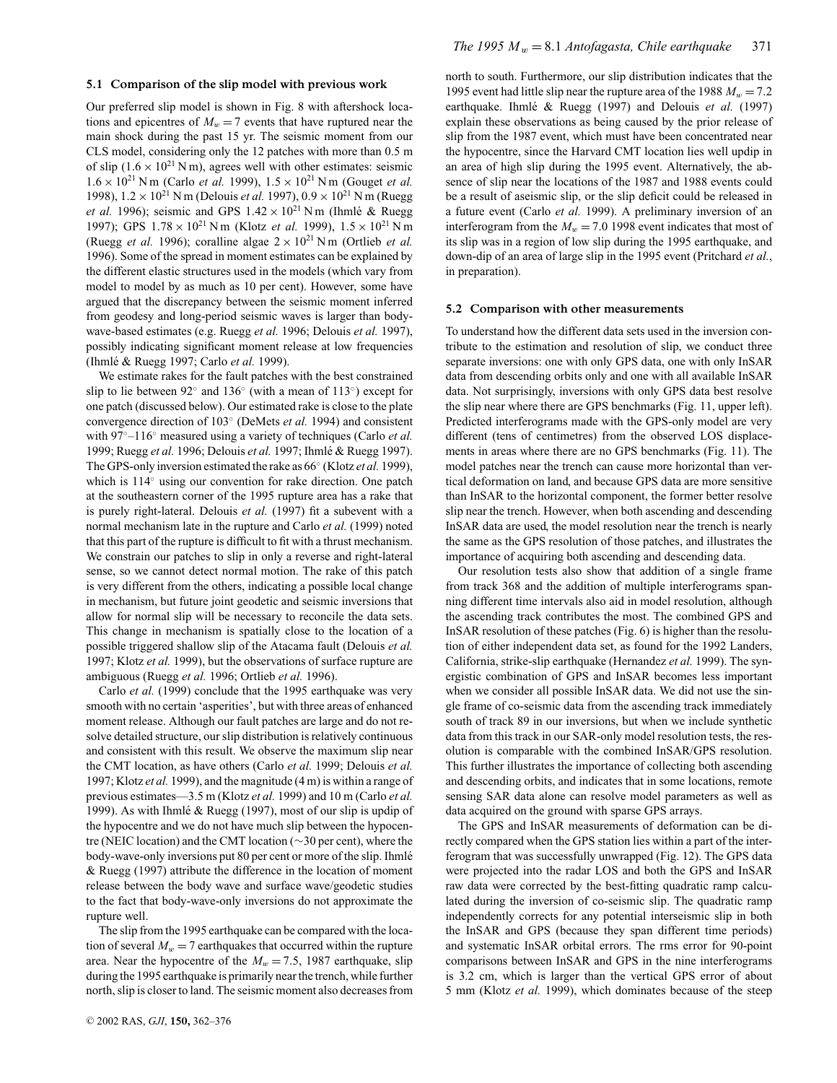#### **5.1 Comparison of the slip model with previous work**

Our preferred slip model is shown in Fig. 8 with aftershock locations and epicentres of  $M_w = 7$  events that have ruptured near the main shock during the past 15 yr. The seismic moment from our CLS model, considering only the 12 patches with more than 0.5 m of slip  $(1.6 \times 10^{21} \text{ N m})$ , agrees well with other estimates: seismic  $1.6 \times 10^{21}$  N m (Carlo *et al.* 1999),  $1.5 \times 10^{21}$  N m (Gouget *et al.* 1998),  $1.2 \times 10^{21}$  N m (Delouis *et al.* 1997),  $0.9 \times 10^{21}$  N m (Ruegg *et al.* 1996); seismic and GPS  $1.42 \times 10^{21}$  N m (Ihmlé & Ruegg 1997); GPS  $1.78 \times 10^{21}$  N m (Klotz *et al.* 1999),  $1.5 \times 10^{21}$  N m (Ruegg *et al.* 1996); coralline algae  $2 \times 10^{21}$  N m (Ortlieb *et al.* 1996). Some of the spread in moment estimates can be explained by the different elastic structures used in the models (which vary from model to model by as much as 10 per cent). However, some have argued that the discrepancy between the seismic moment inferred from geodesy and long-period seismic waves is larger than bodywave-based estimates (e.g. Ruegg *et al.* 1996; Delouis *et al.* 1997), possibly indicating significant moment release at low frequencies (Ihmlé & Ruegg 1997; Carlo et al. 1999).

We estimate rakes for the fault patches with the best constrained slip to lie between 92◦ and 136◦ (with a mean of 113◦) except for one patch (discussed below). Our estimated rake is close to the plate convergence direction of 103◦ (DeMets *et al.* 1994) and consistent with 97◦–116◦ measured using a variety of techniques (Carlo *et al.* 1999; Ruegg *et al.* 1996; Delouis *et al.* 1997; Ihmle & Ruegg 1997). ´ The GPS-only inversion estimated the rake as 66◦ (Klotz *et al.* 1999), which is 114◦ using our convention for rake direction. One patch at the southeastern corner of the 1995 rupture area has a rake that is purely right-lateral. Delouis *et al.* (1997) fit a subevent with a normal mechanism late in the rupture and Carlo *et al.* (1999) noted that this part of the rupture is difficult to fit with a thrust mechanism. We constrain our patches to slip in only a reverse and right-lateral sense, so we cannot detect normal motion. The rake of this patch is very different from the others, indicating a possible local change in mechanism, but future joint geodetic and seismic inversions that allow for normal slip will be necessary to reconcile the data sets. This change in mechanism is spatially close to the location of a possible triggered shallow slip of the Atacama fault (Delouis *et al.* 1997; Klotz *et al.* 1999), but the observations of surface rupture are ambiguous (Ruegg *et al.* 1996; Ortlieb *et al.* 1996).

Carlo *et al.* (1999) conclude that the 1995 earthquake was very smooth with no certain 'asperities', but with three areas of enhanced moment release. Although our fault patches are large and do not resolve detailed structure, our slip distribution is relatively continuous and consistent with this result. We observe the maximum slip near the CMT location, as have others (Carlo *et al.* 1999; Delouis *et al.* 1997; Klotz *et al.* 1999), and the magnitude (4 m) is within a range of previous estimates—3.5 m (Klotz *et al.* 1999) and 10 m (Carlo *et al.* 1999). As with Ihmlé & Ruegg (1997), most of our slip is updip of the hypocentre and we do not have much slip between the hypocentre (NEIC location) and the CMT location (∼30 per cent), where the body-wave-only inversions put 80 per cent or more of the slip. Ihmlé & Ruegg (1997) attribute the difference in the location of moment release between the body wave and surface wave/geodetic studies to the fact that body-wave-only inversions do not approximate the rupture well.

The slip from the 1995 earthquake can be compared with the location of several  $M_w = 7$  earthquakes that occurred within the rupture area. Near the hypocentre of the  $M_w = 7.5$ , 1987 earthquake, slip during the 1995 earthquake is primarily near the trench, while further north, slip is closer to land. The seismic moment also decreases from

north to south. Furthermore, our slip distribution indicates that the 1995 event had little slip near the rupture area of the 1988  $M_w = 7.2$ earthquake. Ihmlé & Ruegg (1997) and Delouis *et al.* (1997) explain these observations as being caused by the prior release of slip from the 1987 event, which must have been concentrated near the hypocentre, since the Harvard CMT location lies well updip in an area of high slip during the 1995 event. Alternatively, the absence of slip near the locations of the 1987 and 1988 events could be a result of aseismic slip, or the slip deficit could be released in a future event (Carlo *et al.* 1999). A preliminary inversion of an interferogram from the  $M_w = 7.0$  1998 event indicates that most of its slip was in a region of low slip during the 1995 earthquake, and down-dip of an area of large slip in the 1995 event (Pritchard *et al.*, in preparation).

#### **5.2 Comparison with other measurements**

To understand how the different data sets used in the inversion contribute to the estimation and resolution of slip, we conduct three separate inversions: one with only GPS data, one with only InSAR data from descending orbits only and one with all available InSAR data. Not surprisingly, inversions with only GPS data best resolve the slip near where there are GPS benchmarks (Fig. 11, upper left). Predicted interferograms made with the GPS-only model are very different (tens of centimetres) from the observed LOS displacements in areas where there are no GPS benchmarks (Fig. 11). The model patches near the trench can cause more horizontal than vertical deformation on land, and because GPS data are more sensitive than InSAR to the horizontal component, the former better resolve slip near the trench. However, when both ascending and descending InSAR data are used, the model resolution near the trench is nearly the same as the GPS resolution of those patches, and illustrates the importance of acquiring both ascending and descending data.

Our resolution tests also show that addition of a single frame from track 368 and the addition of multiple interferograms spanning different time intervals also aid in model resolution, although the ascending track contributes the most. The combined GPS and InSAR resolution of these patches (Fig. 6) is higher than the resolution of either independent data set, as found for the 1992 Landers, California, strike-slip earthquake (Hernandez *et al.* 1999). The synergistic combination of GPS and InSAR becomes less important when we consider all possible InSAR data. We did not use the single frame of co-seismic data from the ascending track immediately south of track 89 in our inversions, but when we include synthetic data from this track in our SAR-only model resolution tests, the resolution is comparable with the combined InSAR/GPS resolution. This further illustrates the importance of collecting both ascending and descending orbits, and indicates that in some locations, remote sensing SAR data alone can resolve model parameters as well as data acquired on the ground with sparse GPS arrays.

The GPS and InSAR measurements of deformation can be directly compared when the GPS station lies within a part of the interferogram that was successfully unwrapped (Fig. 12). The GPS data were projected into the radar LOS and both the GPS and InSAR raw data were corrected by the best-fitting quadratic ramp calculated during the inversion of co-seismic slip. The quadratic ramp independently corrects for any potential interseismic slip in both the InSAR and GPS (because they span different time periods) and systematic InSAR orbital errors. The rms error for 90-point comparisons between InSAR and GPS in the nine interferograms is 3.2 cm, which is larger than the vertical GPS error of about 5 mm (Klotz *et al.* 1999), which dominates because of the steep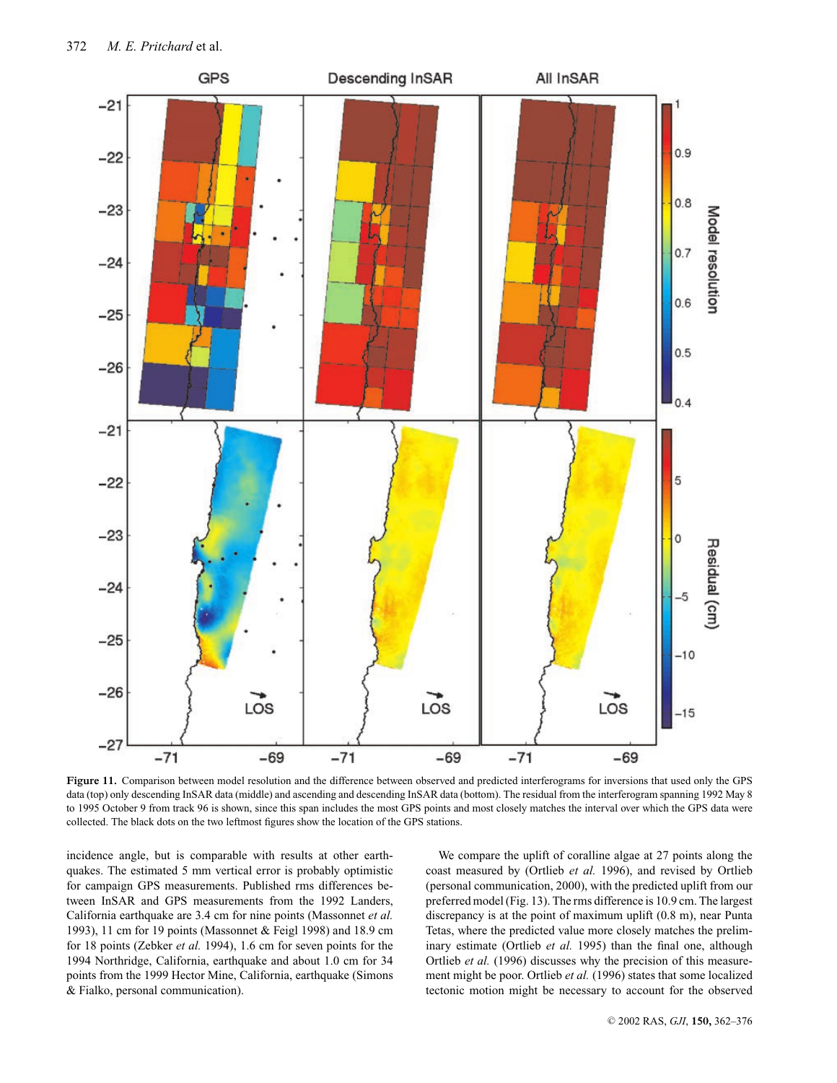

**Figure 11.** Comparison between model resolution and the difference between observed and predicted interferograms for inversions that used only the GPS data (top) only descending InSAR data (middle) and ascending and descending InSAR data (bottom). The residual from the interferogram spanning 1992 May 8 to 1995 October 9 from track 96 is shown, since this span includes the most GPS points and most closely matches the interval over which the GPS data were collected. The black dots on the two leftmost figures show the location of the GPS stations.

incidence angle, but is comparable with results at other earthquakes. The estimated 5 mm vertical error is probably optimistic for campaign GPS measurements. Published rms differences between InSAR and GPS measurements from the 1992 Landers, California earthquake are 3.4 cm for nine points (Massonnet *et al.* 1993), 11 cm for 19 points (Massonnet & Feigl 1998) and 18.9 cm for 18 points (Zebker *et al.* 1994), 1.6 cm for seven points for the 1994 Northridge, California, earthquake and about 1.0 cm for 34 points from the 1999 Hector Mine, California, earthquake (Simons & Fialko, personal communication).

We compare the uplift of coralline algae at 27 points along the coast measured by (Ortlieb *et al.* 1996), and revised by Ortlieb (personal communication, 2000), with the predicted uplift from our preferred model (Fig. 13). The rms difference is 10.9 cm. The largest discrepancy is at the point of maximum uplift (0.8 m), near Punta Tetas, where the predicted value more closely matches the preliminary estimate (Ortlieb *et al.* 1995) than the final one, although Ortlieb *et al.* (1996) discusses why the precision of this measurement might be poor. Ortlieb *et al.* (1996) states that some localized tectonic motion might be necessary to account for the observed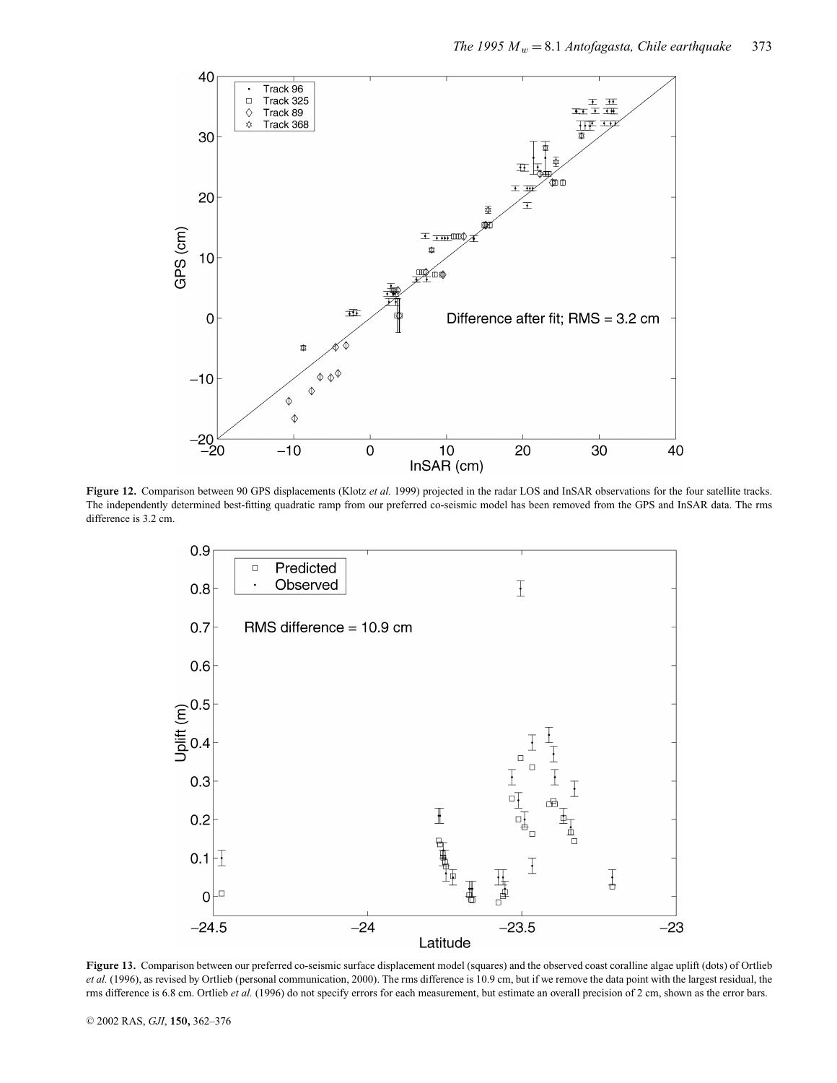

**Figure 12.** Comparison between 90 GPS displacements (Klotz *et al.* 1999) projected in the radar LOS and InSAR observations for the four satellite tracks. The independently determined best-fitting quadratic ramp from our preferred co-seismic model has been removed from the GPS and InSAR data. The rms difference is 3.2 cm.



**Figure 13.** Comparison between our preferred co-seismic surface displacement model (squares) and the observed coast coralline algae uplift (dots) of Ortlieb et al. (1996), as revised by Ortlieb (personal communication, 2000). The rms difference is 10.9 cm, but if we remove the data point with the largest residual, the rms difference is 6.8 cm. Ortlieb *et al.* (1996) do not specify errors for each measurement, but estimate an overall precision of 2 cm, shown as the error bars.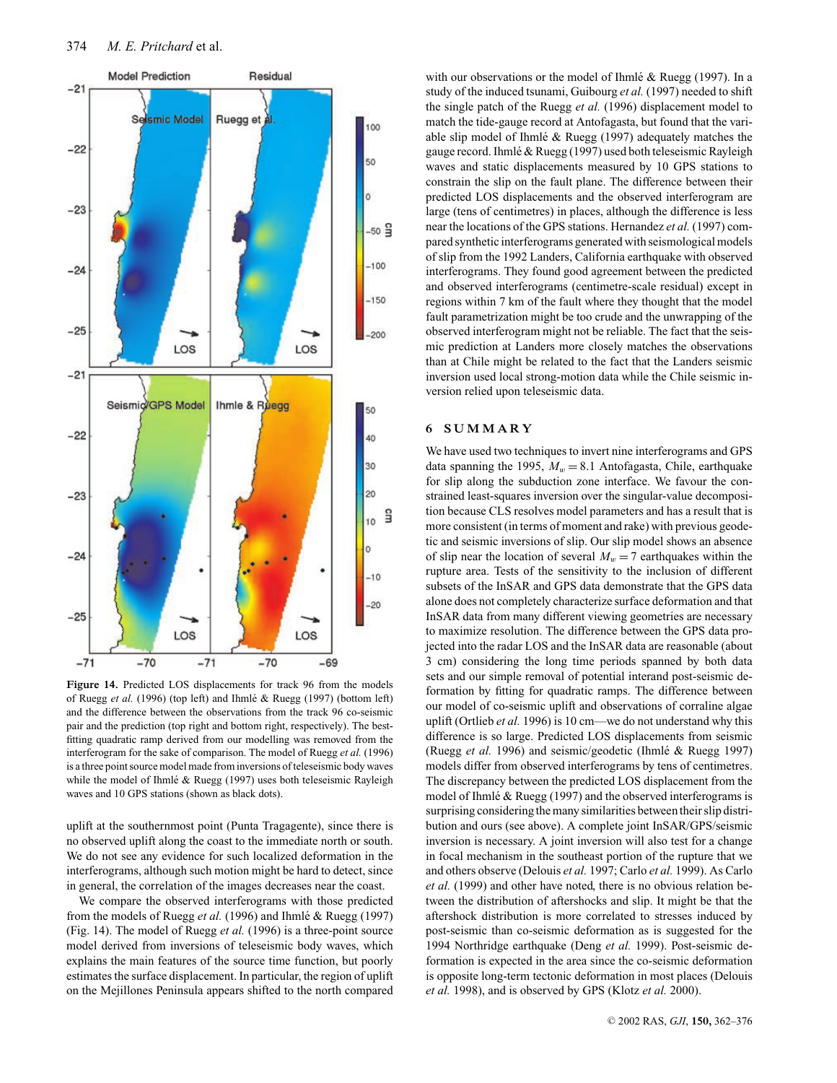

**Figure 14.** Predicted LOS displacements for track 96 from the models of Ruegg et al. (1996) (top left) and Ihmlé & Ruegg (1997) (bottom left) and the difference between the observations from the track 96 co-seismic pair and the prediction (top right and bottom right, respectively). The bestfitting quadratic ramp derived from our modelling was removed from the interferogram for the sake of comparison. The model of Ruegg *et al.* (1996) is a three point source model made from inversions of teleseismic body waves while the model of Ihmlé  $&$  Ruegg (1997) uses both teleseismic Rayleigh waves and 10 GPS stations (shown as black dots).

uplift at the southernmost point (Punta Tragagente), since there is no observed uplift along the coast to the immediate north or south. We do not see any evidence for such localized deformation in the interferograms, although such motion might be hard to detect, since in general, the correlation of the images decreases near the coast.

We compare the observed interferograms with those predicted from the models of Ruegg et al. (1996) and Ihmlé & Ruegg (1997) (Fig. 14). The model of Ruegg *et al.* (1996) is a three-point source model derived from inversions of teleseismic body waves, which explains the main features of the source time function, but poorly estimates the surface displacement. In particular, the region of uplift on the Mejillones Peninsula appears shifted to the north compared with our observations or the model of Ihmlé & Ruegg (1997). In a study of the induced tsunami, Guibourg *et al.* (1997) needed to shift the single patch of the Ruegg *et al.* (1996) displacement model to match the tide-gauge record at Antofagasta, but found that the variable slip model of Ihmlé  $& Ruegg$  (1997) adequately matches the gauge record. Ihmlé & Ruegg (1997) used both teleseismic Rayleigh waves and static displacements measured by 10 GPS stations to constrain the slip on the fault plane. The difference between their predicted LOS displacements and the observed interferogram are large (tens of centimetres) in places, although the difference is less near the locations of the GPS stations. Hernandez *et al.* (1997) compared synthetic interferograms generated with seismological models of slip from the 1992 Landers, California earthquake with observed interferograms. They found good agreement between the predicted and observed interferograms (centimetre-scale residual) except in regions within 7 km of the fault where they thought that the model fault parametrization might be too crude and the unwrapping of the observed interferogram might not be reliable. The fact that the seismic prediction at Landers more closely matches the observations than at Chile might be related to the fact that the Landers seismic inversion used local strong-motion data while the Chile seismic inversion relied upon teleseismic data.

# **6 SUMMARY**

We have used two techniques to invert nine interferograms and GPS data spanning the 1995,  $M_w = 8.1$  Antofagasta, Chile, earthquake for slip along the subduction zone interface. We favour the constrained least-squares inversion over the singular-value decomposition because CLS resolves model parameters and has a result that is more consistent (in terms of moment and rake) with previous geodetic and seismic inversions of slip. Our slip model shows an absence of slip near the location of several  $M_w = 7$  earthquakes within the rupture area. Tests of the sensitivity to the inclusion of different subsets of the InSAR and GPS data demonstrate that the GPS data alone does not completely characterize surface deformation and that InSAR data from many different viewing geometries are necessary to maximize resolution. The difference between the GPS data projected into the radar LOS and the InSAR data are reasonable (about 3 cm) considering the long time periods spanned by both data sets and our simple removal of potential interand post-seismic deformation by fitting for quadratic ramps. The difference between our model of co-seismic uplift and observations of corraline algae uplift (Ortlieb *et al.* 1996) is 10 cm—we do not understand why this difference is so large. Predicted LOS displacements from seismic (Ruegg *et al.* 1996) and seismic/geodetic (Ihmlé & Ruegg 1997) models differ from observed interferograms by tens of centimetres. The discrepancy between the predicted LOS displacement from the model of Ihmlé  $&$  Ruegg (1997) and the observed interferograms is surprising considering the many similarities between their slip distribution and ours (see above). A complete joint InSAR/GPS/seismic inversion is necessary. A joint inversion will also test for a change in focal mechanism in the southeast portion of the rupture that we and others observe (Delouis *et al.* 1997; Carlo *et al.* 1999). As Carlo *et al.* (1999) and other have noted, there is no obvious relation between the distribution of aftershocks and slip. It might be that the aftershock distribution is more correlated to stresses induced by post-seismic than co-seismic deformation as is suggested for the 1994 Northridge earthquake (Deng *et al.* 1999). Post-seismic deformation is expected in the area since the co-seismic deformation is opposite long-term tectonic deformation in most places (Delouis *et al.* 1998), and is observed by GPS (Klotz *et al.* 2000).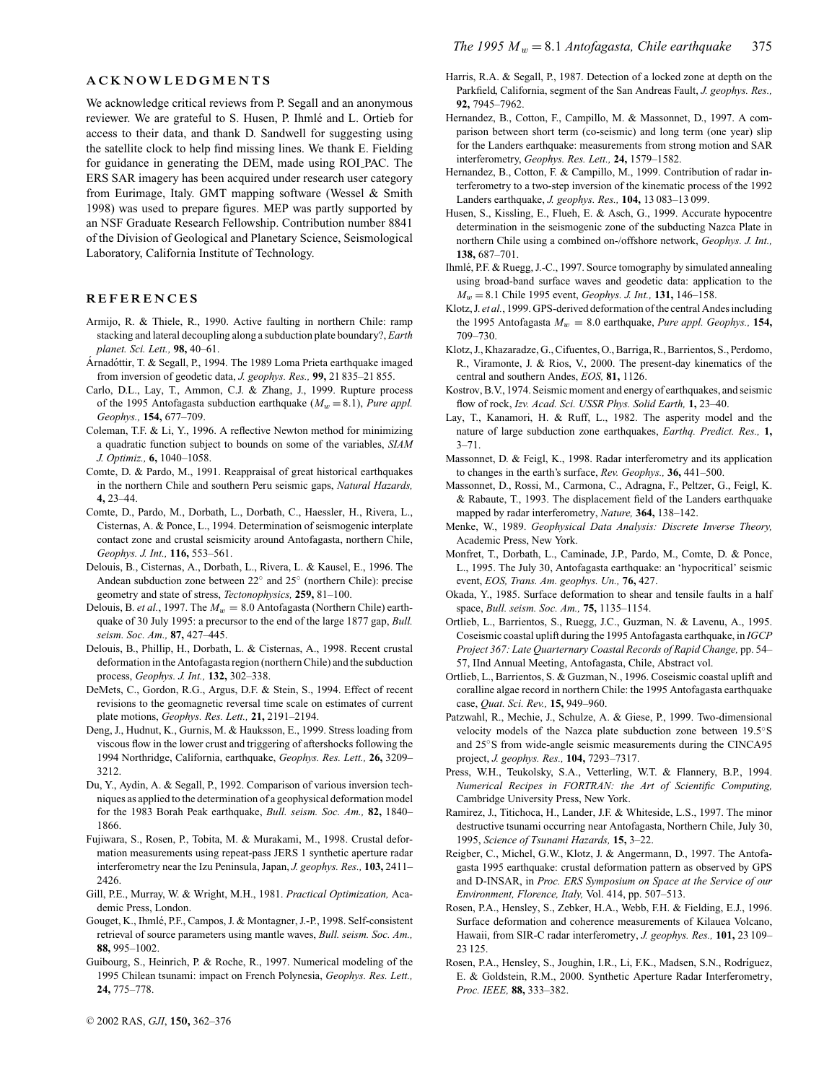#### **ACKNOWLEDGMENTS**

We acknowledge critical reviews from P. Segall and an anonymous reviewer. We are grateful to S. Husen, P. Ihmlé and L. Ortieb for access to their data, and thank D. Sandwell for suggesting using the satellite clock to help find missing lines. We thank E. Fielding for guidance in generating the DEM, made using ROI PAC. The ERS SAR imagery has been acquired under research user category from Eurimage, Italy. GMT mapping software (Wessel & Smith 1998) was used to prepare figures. MEP was partly supported by an NSF Graduate Research Fellowship. Contribution number 8841 of the Division of Geological and Planetary Science, Seismological Laboratory, California Institute of Technology.

#### **REFERENCES**

- Armijo, R. & Thiele, R., 1990. Active faulting in northern Chile: ramp stacking and lateral decoupling along a subduction plate boundary?, *Earth planet. Sci. Lett.,* **98,** 40–61.
- Árnadóttir, T. & Segall, P., 1994. The 1989 Loma Prieta earthquake imaged from inversion of geodetic data, *J. geophys. Res.,* **99,** 21 835–21 855.
- Carlo, D.L., Lay, T., Ammon, C.J. & Zhang, J., 1999. Rupture process of the 1995 Antofagasta subduction earthquake  $(M_w = 8.1)$ , *Pure appl. Geophys.,* **154,** 677–709.
- Coleman, T.F. & Li, Y., 1996. A reflective Newton method for minimizing a quadratic function subject to bounds on some of the variables, *SIAM J. Optimiz.,* **6,** 1040–1058.
- Comte, D. & Pardo, M., 1991. Reappraisal of great historical earthquakes in the northern Chile and southern Peru seismic gaps, *Natural Hazards,* **4,** 23–44.
- Comte, D., Pardo, M., Dorbath, L., Dorbath, C., Haessler, H., Rivera, L., Cisternas, A. & Ponce, L., 1994. Determination of seismogenic interplate contact zone and crustal seismicity around Antofagasta, northern Chile, *Geophys. J. Int.,* **116,** 553–561.
- Delouis, B., Cisternas, A., Dorbath, L., Rivera, L. & Kausel, E., 1996. The Andean subduction zone between 22◦ and 25◦ (northern Chile): precise geometry and state of stress, *Tectonophysics,* **259,** 81–100.
- Delouis, B. *et al.*, 1997. The  $M_w = 8.0$  Antofagasta (Northern Chile) earthquake of 30 July 1995: a precursor to the end of the large 1877 gap, *Bull. seism. Soc. Am.,* **87,** 427–445.
- Delouis, B., Phillip, H., Dorbath, L. & Cisternas, A., 1998. Recent crustal deformation in the Antofagasta region (northern Chile) and the subduction process, *Geophys. J. Int.,* **132,** 302–338.
- DeMets, C., Gordon, R.G., Argus, D.F. & Stein, S., 1994. Effect of recent revisions to the geomagnetic reversal time scale on estimates of current plate motions, *Geophys. Res. Lett.,* **21,** 2191–2194.
- Deng, J., Hudnut, K., Gurnis, M. & Hauksson, E., 1999. Stress loading from viscous flow in the lower crust and triggering of aftershocks following the 1994 Northridge, California, earthquake, *Geophys. Res. Lett.,* **26,** 3209– 3212.
- Du, Y., Aydin, A. & Segall, P., 1992. Comparison of various inversion techniques as applied to the determination of a geophysical deformation model for the 1983 Borah Peak earthquake, *Bull. seism. Soc. Am.,* **82,** 1840– 1866.
- Fujiwara, S., Rosen, P., Tobita, M. & Murakami, M., 1998. Crustal deformation measurements using repeat-pass JERS 1 synthetic aperture radar interferometry near the Izu Peninsula, Japan, *J. geophys. Res.,* **103,** 2411– 2426.
- Gill, P.E., Murray, W. & Wright, M.H., 1981. *Practical Optimization,* Academic Press, London.
- Gouget, K., Ihmlé, P.F., Campos, J. & Montagner, J.-P., 1998. Self-consistent retrieval of source parameters using mantle waves, *Bull. seism. Soc. Am.,* **88,** 995–1002.
- Guibourg, S., Heinrich, P. & Roche, R., 1997. Numerical modeling of the 1995 Chilean tsunami: impact on French Polynesia, *Geophys. Res. Lett.,* **24,** 775–778.
- Harris, R.A. & Segall, P., 1987. Detection of a locked zone at depth on the Parkfield, California, segment of the San Andreas Fault, *J. geophys. Res.,* **92,** 7945–7962.
- Hernandez, B., Cotton, F., Campillo, M. & Massonnet, D., 1997. A comparison between short term (co-seismic) and long term (one year) slip for the Landers earthquake: measurements from strong motion and SAR interferometry, *Geophys. Res. Lett.,* **24,** 1579–1582.
- Hernandez, B., Cotton, F. & Campillo, M., 1999. Contribution of radar interferometry to a two-step inversion of the kinematic process of the 1992 Landers earthquake, *J. geophys. Res.,* **104,** 13 083–13 099.
- Husen, S., Kissling, E., Flueh, E. & Asch, G., 1999. Accurate hypocentre determination in the seismogenic zone of the subducting Nazca Plate in northern Chile using a combined on-/offshore network, *Geophys. J. Int.,* **138,** 687–701.
- Ihmlé, P.F. & Ruegg, J.-C., 1997. Source tomography by simulated annealing using broad-band surface waves and geodetic data: application to the *M*<sup>w</sup> = 8.1 Chile 1995 event, *Geophys. J. Int.,* **131,** 146–158.
- Klotz, J. *et al.*, 1999. GPS-derived deformation of the central Andes including the 1995 Antofagasta  $M_w = 8.0$  earthquake, *Pure appl. Geophys.*, 154, 709–730.
- Klotz, J., Khazaradze, G., Cifuentes, O., Barriga, R., Barrientos, S., Perdomo, R., Viramonte, J. & Rios, V., 2000. The present-day kinematics of the central and southern Andes, *EOS,* **81,** 1126.
- Kostrov, B.V., 1974. Seismic moment and energy of earthquakes, and seismic flow of rock, *Izv. Acad. Sci. USSR Phys. Solid Earth,* **1,** 23–40.
- Lay, T., Kanamori, H. & Ruff, L., 1982. The asperity model and the nature of large subduction zone earthquakes, *Earthq. Predict. Res.,* **1,**  $3 - 71$ .
- Massonnet, D. & Feigl, K., 1998. Radar interferometry and its application to changes in the earth's surface, *Rev. Geophys.,* **36,** 441–500.
- Massonnet, D., Rossi, M., Carmona, C., Adragna, F., Peltzer, G., Feigl, K. & Rabaute, T., 1993. The displacement field of the Landers earthquake mapped by radar interferometry, *Nature,* **364,** 138–142.
- Menke, W., 1989. *Geophysical Data Analysis: Discrete Inverse Theory,* Academic Press, New York.
- Monfret, T., Dorbath, L., Caminade, J.P., Pardo, M., Comte, D. & Ponce, L., 1995. The July 30, Antofagasta earthquake: an 'hypocritical' seismic event, *EOS, Trans. Am. geophys. Un.,* **76,** 427.
- Okada, Y., 1985. Surface deformation to shear and tensile faults in a half space, *Bull. seism. Soc. Am.,* **75,** 1135–1154.
- Ortlieb, L., Barrientos, S., Ruegg, J.C., Guzman, N. & Lavenu, A., 1995. Coseismic coastal uplift during the 1995 Antofagasta earthquake, in *IGCP Project 367: Late Quarternary Coastal Records of Rapid Change,* pp. 54– 57, IInd Annual Meeting, Antofagasta, Chile, Abstract vol.
- Ortlieb, L., Barrientos, S. & Guzman, N., 1996. Coseismic coastal uplift and coralline algae record in northern Chile: the 1995 Antofagasta earthquake case, *Quat. Sci. Rev.,* **15,** 949–960.
- Patzwahl, R., Mechie, J., Schulze, A. & Giese, P., 1999. Two-dimensional velocity models of the Nazca plate subduction zone between 19.5◦S and 25◦S from wide-angle seismic measurements during the CINCA95 project, *J. geophys. Res.,* **104,** 7293–7317.
- Press, W.H., Teukolsky, S.A., Vetterling, W.T. & Flannery, B.P., 1994. *Numerical Recipes in FORTRAN: the Art of Scientific Computing,* Cambridge University Press, New York.
- Ramirez, J., Titichoca, H., Lander, J.F. & Whiteside, L.S., 1997. The minor destructive tsunami occurring near Antofagasta, Northern Chile, July 30, 1995, *Science of Tsunami Hazards,* **15,** 3–22.
- Reigber, C., Michel, G.W., Klotz, J. & Angermann, D., 1997. The Antofagasta 1995 earthquake: crustal deformation pattern as observed by GPS and D-INSAR, in *Proc. ERS Symposium on Space at the Service of our Environment, Florence, Italy,* Vol. 414, pp. 507–513.
- Rosen, P.A., Hensley, S., Zebker, H.A., Webb, F.H. & Fielding, E.J., 1996. Surface deformation and coherence measurements of Kilauea Volcano, Hawaii, from SIR-C radar interferometry, *J. geophys. Res.,* **101,** 23 109– 23 125.
- Rosen, P.A., Hensley, S., Joughin, I.R., Li, F.K., Madsen, S.N., Rodríguez, E. & Goldstein, R.M., 2000. Synthetic Aperture Radar Interferometry, *Proc. IEEE,* **88,** 333–382.